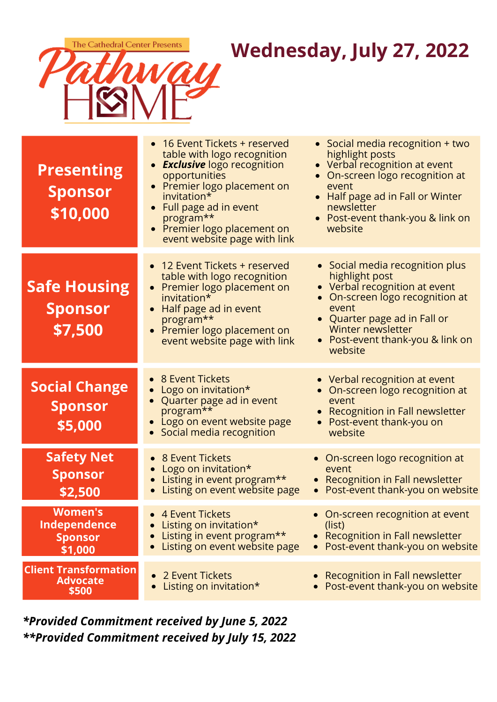

# **Wednesday, July 27, 2022**

| <b>Presenting</b><br><b>Sponsor</b><br>\$10,000             | • 16 Event Tickets + reserved<br>table with logo recognition<br>• <b>Exclusive</b> logo recognition<br>opportunities<br>• Premier logo placement on<br>invitation*<br>• Full page ad in event<br>program**<br>• Premier logo placement on<br>event website page with link | • Social media recognition + two<br>highlight posts<br>• Verbal recognition at event<br>• On-screen logo recognition at<br>event<br>• Half page ad in Fall or Winter<br>newsletter<br>• Post-event thank-you & link on<br>website           |
|-------------------------------------------------------------|---------------------------------------------------------------------------------------------------------------------------------------------------------------------------------------------------------------------------------------------------------------------------|---------------------------------------------------------------------------------------------------------------------------------------------------------------------------------------------------------------------------------------------|
| <b>Safe Housing</b><br><b>Sponsor</b><br>\$7,500            | • 12 Event Tickets + reserved<br>table with logo recognition<br>• Premier logo placement on<br>invitation*<br>Half page ad in event<br>program**<br>• Premier logo placement on<br>event website page with link                                                           | • Social media recognition plus<br>highlight post<br>• Verbal recognition at event<br>On-screen logo recognition at<br>$\bullet$<br>event<br>• Quarter page ad in Fall or<br>Winter newsletter<br>Post-event thank-you & link on<br>website |
| <b>Social Change</b><br><b>Sponsor</b><br>\$5,000           | • 8 Event Tickets<br>Logo on invitation*<br>Quarter page ad in event<br>program**<br>• Logo on event website page<br>Social media recognition                                                                                                                             | • Verbal recognition at event<br>• On-screen logo recognition at<br>event<br>Recognition in Fall newsletter<br>• Post-event thank-you on<br>website                                                                                         |
| <b>Safety Net</b><br><b>Sponsor</b><br>\$2,500              | 8 Event Tickets<br>Logo on invitation*<br>Listing in event program**<br>Listing on event website page                                                                                                                                                                     | • On-screen logo recognition at<br>event<br>• Recognition in Fall newsletter<br>Post-event thank-you on website                                                                                                                             |
| <b>Women's</b><br>Independence<br><b>Sponsor</b><br>\$1,000 | 4 Event Tickets<br>Listing on invitation*<br>Listing in event program**<br>Listing on event website page                                                                                                                                                                  | On-screen recognition at event<br>(list)<br>• Recognition in Fall newsletter<br>• Post-event thank-you on website                                                                                                                           |
| <b>Client Transformation</b><br><b>Advocate</b><br>\$500    | 2 Event Tickets<br>Listing on invitation*                                                                                                                                                                                                                                 | Recognition in Fall newsletter<br>Post-event thank-you on website                                                                                                                                                                           |

## *\*Provided Commitment received by June 5, 2022 \*\*Provided Commitment received by July 15, 2022*